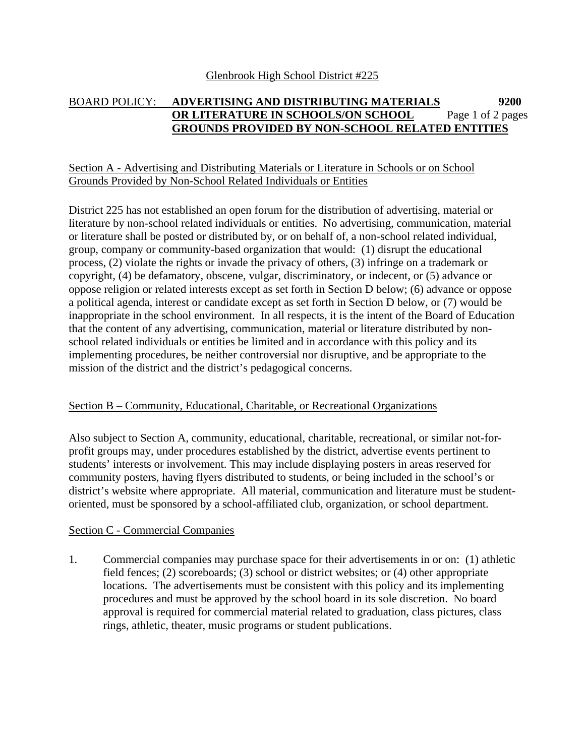#### BOARD POLICY: **ADVERTISING AND DISTRIBUTING MATERIALS 9200 OR LITERATURE IN SCHOOLS/ON SCHOOL GROUNDS PROVIDED BY NON-SCHOOL RELATED ENTITIES** Page 1 of 2 pages

## Section A - Advertising and Distributing Materials or Literature in Schools or on School Grounds Provided by Non-School Related Individuals or Entities

District 225 has not established an open forum for the distribution of advertising, material or literature by non-school related individuals or entities. No advertising, communication, material or literature shall be posted or distributed by, or on behalf of, a non-school related individual, group, company or community-based organization that would: (1) disrupt the educational process, (2) violate the rights or invade the privacy of others, (3) infringe on a trademark or copyright, (4) be defamatory, obscene, vulgar, discriminatory, or indecent, or (5) advance or oppose religion or related interests except as set forth in Section D below; (6) advance or oppose a political agenda, interest or candidate except as set forth in Section D below, or (7) would be inappropriate in the school environment. In all respects, it is the intent of the Board of Education that the content of any advertising, communication, material or literature distributed by nonschool related individuals or entities be limited and in accordance with this policy and its implementing procedures, be neither controversial nor disruptive, and be appropriate to the mission of the district and the district's pedagogical concerns.

### Section B – Community, Educational, Charitable, or Recreational Organizations

Also subject to Section A, community, educational, charitable, recreational, or similar not-forprofit groups may, under procedures established by the district, advertise events pertinent to students' interests or involvement. This may include displaying posters in areas reserved for community posters, having flyers distributed to students, or being included in the school's or district's website where appropriate. All material, communication and literature must be studentoriented, must be sponsored by a school-affiliated club, organization, or school department.

## Section C - Commercial Companies

1. Commercial companies may purchase space for their advertisements in or on: (1) athletic field fences; (2) scoreboards; (3) school or district websites; or (4) other appropriate locations. The advertisements must be consistent with this policy and its implementing procedures and must be approved by the school board in its sole discretion. No board approval is required for commercial material related to graduation, class pictures, class rings, athletic, theater, music programs or student publications.